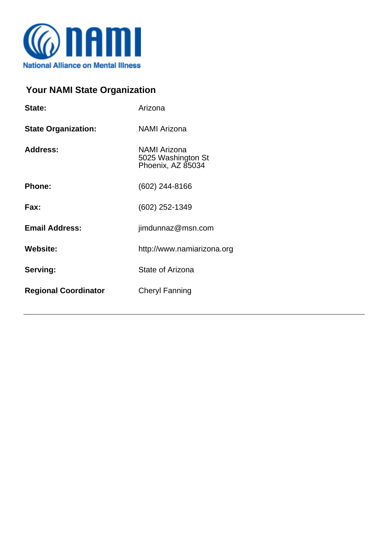

## **Your NAMI State Organization**

| <b>NAMI Arizona</b>                                            |
|----------------------------------------------------------------|
| <b>NAMI Arizona</b><br>5025 Washington St<br>Phoenix, AZ 85034 |
| (602) 244-8166                                                 |
| (602) 252-1349                                                 |
| jimdunnaz@msn.com                                              |
| http://www.namiarizona.org                                     |
| State of Arizona                                               |
| <b>Cheryl Fanning</b>                                          |
|                                                                |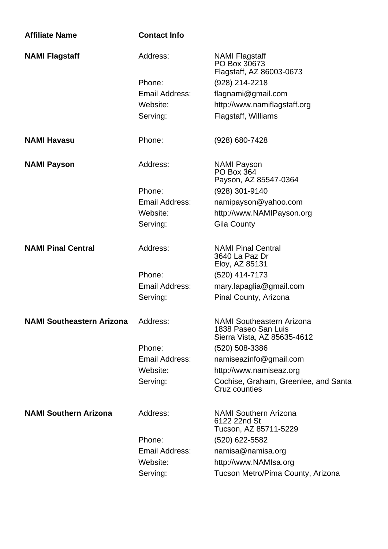| <b>Affiliate Name</b>                     | <b>Contact Info</b>   |                                                                                        |
|-------------------------------------------|-----------------------|----------------------------------------------------------------------------------------|
| <b>NAMI Flagstaff</b>                     | Address:              | <b>NAMI Flagstaff</b><br>PO Box 30673<br>Flagstaff, AZ 86003-0673                      |
|                                           | Phone:                | (928) 214-2218                                                                         |
|                                           | <b>Email Address:</b> | flagnami@gmail.com                                                                     |
|                                           | Website:              | http://www.namiflagstaff.org                                                           |
|                                           | Serving:              | Flagstaff, Williams                                                                    |
| <b>NAMI Havasu</b>                        | Phone:                | (928) 680-7428                                                                         |
| <b>NAMI Payson</b>                        | Address:              | <b>NAMI Payson</b><br>PO Box 364<br>Payson, AZ 85547-0364                              |
|                                           | Phone:                | (928) 301-9140                                                                         |
|                                           | Email Address:        | namipayson@yahoo.com                                                                   |
|                                           | Website:              | http://www.NAMIPayson.org                                                              |
|                                           | Serving:              | <b>Gila County</b>                                                                     |
| <b>NAMI Pinal Central</b>                 | Address:              | <b>NAMI Pinal Central</b><br>3640 La Paz Dr<br>Eloy, AZ 85131                          |
|                                           | Phone:                | (520) 414-7173                                                                         |
|                                           | Email Address:        | mary.lapaglia@gmail.com                                                                |
|                                           | Serving:              | Pinal County, Arizona                                                                  |
| <b>NAMI Southeastern Arizona</b> Address: |                       | <b>NAMI Southeastern Arizona</b><br>1838 Paseo San Luis<br>Sierra Vista, AZ 85635-4612 |
|                                           | Phone:                | (520) 508-3386                                                                         |
|                                           | Email Address:        | namiseazinfo@gmail.com                                                                 |
|                                           | Website:              | http://www.namiseaz.org                                                                |
|                                           | Serving:              | Cochise, Graham, Greenlee, and Santa<br>Cruz counties                                  |
| <b>NAMI Southern Arizona</b>              | Address:              | <b>NAMI Southern Arizona</b><br>6122 22nd St<br>Tucson, AZ 85711-5229                  |
|                                           | Phone:                | (520) 622-5582                                                                         |
|                                           | Email Address:        | namisa@namisa.org                                                                      |
|                                           | Website:              | http://www.NAMIsa.org                                                                  |
|                                           | Serving:              | Tucson Metro/Pima County, Arizona                                                      |